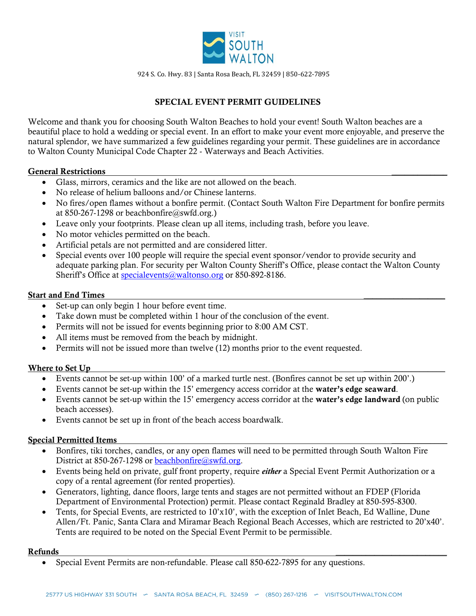

924 S. Co. Hwy. 83 | Santa Rosa Beach, FL 32459 | 850-622-7895

# SPECIAL EVENT PERMIT GUIDELINES

Welcome and thank you for choosing South Walton Beaches to hold your event! South Walton beaches are a beautiful place to hold a wedding or special event. In an effort to make your event more enjoyable, and preserve the natural splendor, we have summarized a few guidelines regarding your permit. These guidelines are in accordance to Walton County Municipal Code Chapter 22 - Waterways and Beach Activities.

#### General Restrictions \_\_\_\_\_\_\_\_\_\_\_\_\_

- Glass, mirrors, ceramics and the like are not allowed on the beach.
- No release of helium balloons and/or Chinese lanterns.
- No fires/open flames without a bonfire permit. (Contact South Walton Fire Department for bonfire permits at 850-267-1298 or beachbonfire@swfd.org.)
- Leave only your footprints. Please clean up all items, including trash, before you leave.
- No motor vehicles permitted on the beach.
- Artificial petals are not permitted and are considered litter.
- Special events over 100 people will require the special event sponsor/vendor to provide security and adequate parking plan. For security per Walton County Sheriff's Office, please contact the Walton County Sheriff's Office at <u>[specialevents@waltonso.org](mailto:specialevents@waltonso.org)</u> or 850-892-8186.

#### Start and End Times

- Set-up can only begin 1 hour before event time.
- Take down must be completed within 1 hour of the conclusion of the event.
- Permits will not be issued for events beginning prior to 8:00 AM CST.
- All items must be removed from the beach by midnight.
- Permits will not be issued more than twelve (12) months prior to the event requested.

#### Where to Set Up

- Events cannot be set-up within 100' of a marked turtle nest. (Bonfires cannot be set up within 200'.)
- Events cannot be set-up within the 15' emergency access corridor at the water's edge seaward.
- Events cannot be set-up within the 15' emergency access corridor at the water's edge landward (on public beach accesses).
- Events cannot be set up in front of the beach access boardwalk.

#### Special Permitted Items \_\_\_\_\_\_\_\_\_\_\_\_\_

- Bonfires, tiki torches, candles, or any open flames will need to be permitted through South Walton Fire District at 850-267-1298 or **beachbonfire@swfd.org**.
- Events being held on private, gulf front property, require *either* a Special Event Permit Authorization or a copy of a rental agreement (for rented properties).
- Generators, lighting, dance floors, large tents and stages are not permitted without an FDEP (Florida Department of Environmental Protection) permit. Please contact Reginald Bradley at 850-595-8300.
- Tents, for Special Events, are restricted to 10'x10', with the exception of Inlet Beach, Ed Walline, Dune Allen/Ft. Panic, Santa Clara and Miramar Beach Regional Beach Accesses, which are restricted to 20'x40'. Tents are required to be noted on the Special Event Permit to be permissible.

## Refunds \_\_\_\_\_\_\_\_\_\_\_\_\_\_\_\_\_\_\_\_\_\_\_\_\_\_

Special Event Permits are non-refundable. Please call 850-622-7895 for any questions.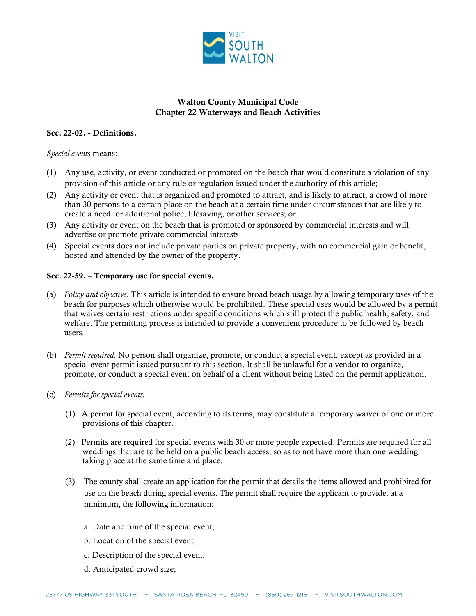

## Walton County Municipal Code Chapter 22 Waterways and Beach Activities

#### Sec. 22-02. - Definitions.

*Special events* means:

- (1) Any use, activity, or event conducted or promoted on the beach that would constitute a violation of any provision of this article or any rule or regulation issued under the authority of this article;
- (2) Any activity or event that is organized and promoted to attract, and is likely to attract, a crowd of more than 30 persons to a certain place on the beach at a certain time under circumstances that are likely to create a need for additional police, lifesaving, or other services; or
- (3) Any activity or event on the beach that is promoted or sponsored by commercial interests and will advertise or promote private commercial interests.
- (4) Special events does not include private parties on private property, with no commercial gain or benefit, hosted and attended by the owner of the property.

## Sec. 22-59. – Temporary use for special events.

- (a) *Policy and objective.* This article is intended to ensure broad beach usage by allowing temporary uses of the beach for purposes which otherwise would be prohibited. These special uses would be allowed by a permit that waives certain restrictions under specific conditions which still protect the public health, safety, and welfare. The permitting process is intended to provide a convenient procedure to be followed by beach users.
- (b) *Permit required.* No person shall organize, promote, or conduct a special event, except as provided in a special event permit issued pursuant to this section. It shall be unlawful for a vendor to organize, promote, or conduct a special event on behalf of a client without being listed on the permit application.
- (c) *Permits for special events.*
	- (1) A permit for special event, according to its terms, may constitute a temporary waiver of one or more provisions of this chapter.
	- (2) Permits are required for special events with 30 or more people expected. Permits are required for all weddings that are to be held on a public beach access, so as to not have more than one wedding taking place at the same time and place.
	- (3) The county shall create an application for the permit that details the items allowed and prohibited for use on the beach during special events. The permit shall require the applicant to provide, at a minimum, the following information:
		- a. Date and time of the special event;
		- b. Location of the special event;
		- c. Description of the special event;
		- d. Anticipated crowd size;